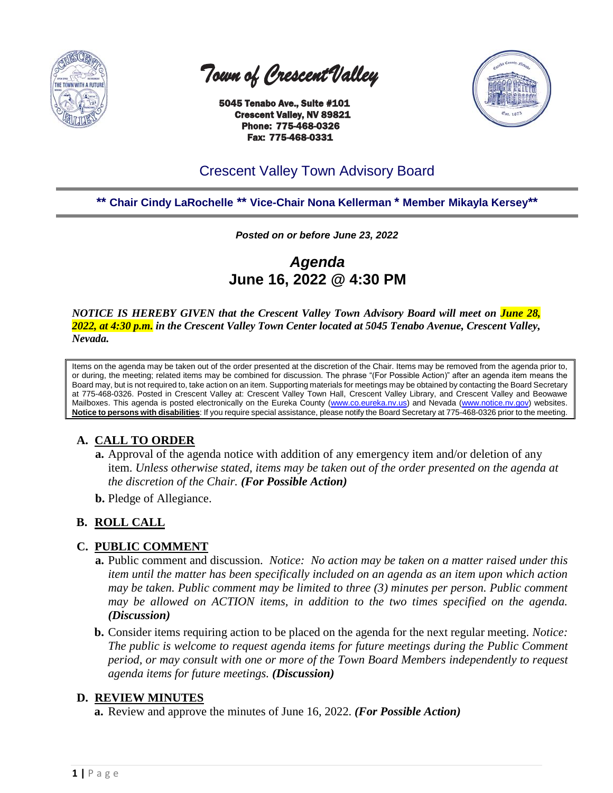

 *Town of Crescent Valley* 

 5045 Tenabo Ave., Suite #101 Crescent Valley, NV 89821 Phone: 775-468-0326 Fax: 775-468-0331



# Crescent Valley Town Advisory Board

**\*\* Chair Cindy LaRochelle \*\* Vice-Chair Nona Kellerman \* Member Mikayla Kersey\*\***

*Posted on or before June 23, 2022*

*Agenda* **June 16, 2022 @ 4:30 PM**

*NOTICE IS HEREBY GIVEN that the Crescent Valley Town Advisory Board will meet on June 28, 2022, at 4:30 p.m. in the Crescent Valley Town Center located at 5045 Tenabo Avenue, Crescent Valley, Nevada.* 

Items on the agenda may be taken out of the order presented at the discretion of the Chair. Items may be removed from the agenda prior to, or during, the meeting; related items may be combined for discussion. The phrase "(For Possible Action)" after an agenda item means the Board may, but is not required to, take action on an item. Supporting materials for meetings may be obtained by contacting the Board Secretary at 775-468-0326. Posted in Crescent Valley at: Crescent Valley Town Hall, Crescent Valley Library, and Crescent Valley and Beowawe Mailboxes. This agenda is posted electronically on the Eureka County [\(www.co.eureka.nv.us\)](http://www.co.eureka.nv.us/) and Nevada [\(www.notice.nv.gov\)](http://www.notice.nv.gov/) websites. **Notice to persons with disabilities**: If you require special assistance, please notify the Board Secretary at 775-468-0326 prior to the meeting.

# **A. CALL TO ORDER**

- **a.** Approval of the agenda notice with addition of any emergency item and/or deletion of any item. *Unless otherwise stated, items may be taken out of the order presented on the agenda at the discretion of the Chair. (For Possible Action)*
- **b.** Pledge of Allegiance.

## **B. ROLL CALL**

#### **C. PUBLIC COMMENT**

- **a.** Public comment and discussion. *Notice: No action may be taken on a matter raised under this item until the matter has been specifically included on an agenda as an item upon which action may be taken. Public comment may be limited to three (3) minutes per person. Public comment may be allowed on ACTION items, in addition to the two times specified on the agenda. (Discussion)*
- **b.** Consider items requiring action to be placed on the agenda for the next regular meeting. *Notice: The public is welcome to request agenda items for future meetings during the Public Comment period, or may consult with one or more of the Town Board Members independently to request agenda items for future meetings. (Discussion)*

## **D. REVIEW MINUTES**

**a.** Review and approve the minutes of June 16, 2022. *(For Possible Action)*